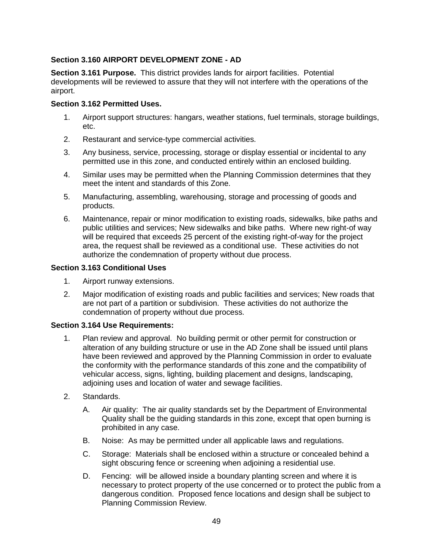# **Section 3.160 AIRPORT DEVELOPMENT ZONE - AD**

**Section 3.161 Purpose.** This district provides lands for airport facilities. Potential developments will be reviewed to assure that they will not interfere with the operations of the airport.

## **Section 3.162 Permitted Uses.**

- 1. Airport support structures: hangars, weather stations, fuel terminals, storage buildings, etc.
- 2. Restaurant and service-type commercial activities.
- 3. Any business, service, processing, storage or display essential or incidental to any permitted use in this zone, and conducted entirely within an enclosed building.
- 4. Similar uses may be permitted when the Planning Commission determines that they meet the intent and standards of this Zone.
- 5. Manufacturing, assembling, warehousing, storage and processing of goods and products.
- 6. Maintenance, repair or minor modification to existing roads, sidewalks, bike paths and public utilities and services; New sidewalks and bike paths. Where new right-of way will be required that exceeds 25 percent of the existing right-of-way for the project area, the request shall be reviewed as a conditional use. These activities do not authorize the condemnation of property without due process.

### **Section 3.163 Conditional Uses**

- 1. Airport runway extensions.
- 2. Major modification of existing roads and public facilities and services; New roads that are not part of a partition or subdivision. These activities do not authorize the condemnation of property without due process.

### **Section 3.164 Use Requirements:**

- 1. Plan review and approval. No building permit or other permit for construction or alteration of any building structure or use in the AD Zone shall be issued until plans have been reviewed and approved by the Planning Commission in order to evaluate the conformity with the performance standards of this zone and the compatibility of vehicular access, signs, lighting, building placement and designs, landscaping, adjoining uses and location of water and sewage facilities.
- 2. Standards.
	- A. Air quality: The air quality standards set by the Department of Environmental Quality shall be the guiding standards in this zone, except that open burning is prohibited in any case.
	- B. Noise: As may be permitted under all applicable laws and regulations.
	- C. Storage: Materials shall be enclosed within a structure or concealed behind a sight obscuring fence or screening when adjoining a residential use.
	- D. Fencing: will be allowed inside a boundary planting screen and where it is necessary to protect property of the use concerned or to protect the public from a dangerous condition. Proposed fence locations and design shall be subject to Planning Commission Review.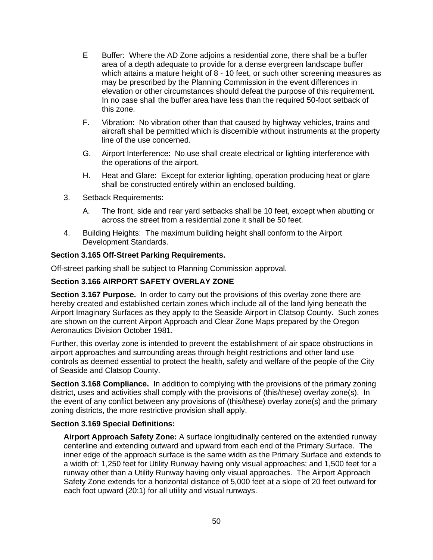- E Buffer: Where the AD Zone adjoins a residential zone, there shall be a buffer area of a depth adequate to provide for a dense evergreen landscape buffer which attains a mature height of 8 - 10 feet, or such other screening measures as may be prescribed by the Planning Commission in the event differences in elevation or other circumstances should defeat the purpose of this requirement. In no case shall the buffer area have less than the required 50-foot setback of this zone.
- F. Vibration: No vibration other than that caused by highway vehicles, trains and aircraft shall be permitted which is discernible without instruments at the property line of the use concerned.
- G. Airport Interference: No use shall create electrical or lighting interference with the operations of the airport.
- H. Heat and Glare: Except for exterior lighting, operation producing heat or glare shall be constructed entirely within an enclosed building.
- 3. Setback Requirements:
	- A. The front, side and rear yard setbacks shall be 10 feet, except when abutting or across the street from a residential zone it shall be 50 feet.
- 4. Building Heights: The maximum building height shall conform to the Airport Development Standards.

### **Section 3.165 Off-Street Parking Requirements.**

Off-street parking shall be subject to Planning Commission approval.

### **Section 3.166 AIRPORT SAFETY OVERLAY ZONE**

**Section 3.167 Purpose.** In order to carry out the provisions of this overlay zone there are hereby created and established certain zones which include all of the land lying beneath the Airport Imaginary Surfaces as they apply to the Seaside Airport in Clatsop County. Such zones are shown on the current Airport Approach and Clear Zone Maps prepared by the Oregon Aeronautics Division October 1981.

Further, this overlay zone is intended to prevent the establishment of air space obstructions in airport approaches and surrounding areas through height restrictions and other land use controls as deemed essential to protect the health, safety and welfare of the people of the City of Seaside and Clatsop County.

**Section 3.168 Compliance.** In addition to complying with the provisions of the primary zoning district, uses and activities shall comply with the provisions of (this/these) overlay zone(s). In the event of any conflict between any provisions of (this/these) overlay zone(s) and the primary zoning districts, the more restrictive provision shall apply.

### **Section 3.169 Special Definitions:**

**Airport Approach Safety Zone:** A surface longitudinally centered on the extended runway centerline and extending outward and upward from each end of the Primary Surface. The inner edge of the approach surface is the same width as the Primary Surface and extends to a width of: 1,250 feet for Utility Runway having only visual approaches; and 1,500 feet for a runway other than a Utility Runway having only visual approaches. The Airport Approach Safety Zone extends for a horizontal distance of 5,000 feet at a slope of 20 feet outward for each foot upward (20:1) for all utility and visual runways.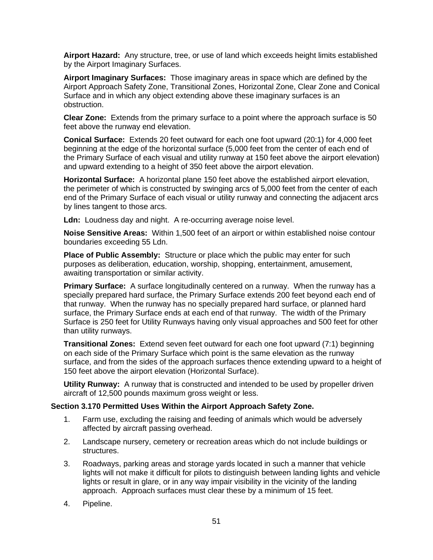**Airport Hazard:** Any structure, tree, or use of land which exceeds height limits established by the Airport Imaginary Surfaces.

**Airport Imaginary Surfaces:** Those imaginary areas in space which are defined by the Airport Approach Safety Zone, Transitional Zones, Horizontal Zone, Clear Zone and Conical Surface and in which any object extending above these imaginary surfaces is an obstruction.

**Clear Zone:** Extends from the primary surface to a point where the approach surface is 50 feet above the runway end elevation.

**Conical Surface:** Extends 20 feet outward for each one foot upward (20:1) for 4,000 feet beginning at the edge of the horizontal surface (5,000 feet from the center of each end of the Primary Surface of each visual and utility runway at 150 feet above the airport elevation) and upward extending to a height of 350 feet above the airport elevation.

**Horizontal Surface:** A horizontal plane 150 feet above the established airport elevation, the perimeter of which is constructed by swinging arcs of 5,000 feet from the center of each end of the Primary Surface of each visual or utility runway and connecting the adjacent arcs by lines tangent to those arcs.

**Ldn:** Loudness day and night. A re-occurring average noise level.

**Noise Sensitive Areas:** Within 1,500 feet of an airport or within established noise contour boundaries exceeding 55 Ldn.

**Place of Public Assembly:** Structure or place which the public may enter for such purposes as deliberation, education, worship, shopping, entertainment, amusement, awaiting transportation or similar activity.

**Primary Surface:** A surface longitudinally centered on a runway. When the runway has a specially prepared hard surface, the Primary Surface extends 200 feet beyond each end of that runway. When the runway has no specially prepared hard surface, or planned hard surface, the Primary Surface ends at each end of that runway. The width of the Primary Surface is 250 feet for Utility Runways having only visual approaches and 500 feet for other than utility runways.

**Transitional Zones:** Extend seven feet outward for each one foot upward (7:1) beginning on each side of the Primary Surface which point is the same elevation as the runway surface, and from the sides of the approach surfaces thence extending upward to a height of 150 feet above the airport elevation (Horizontal Surface).

**Utility Runway:** A runway that is constructed and intended to be used by propeller driven aircraft of 12,500 pounds maximum gross weight or less.

### **Section 3.170 Permitted Uses Within the Airport Approach Safety Zone.**

- 1. Farm use, excluding the raising and feeding of animals which would be adversely affected by aircraft passing overhead.
- 2. Landscape nursery, cemetery or recreation areas which do not include buildings or structures.
- 3. Roadways, parking areas and storage yards located in such a manner that vehicle lights will not make it difficult for pilots to distinguish between landing lights and vehicle lights or result in glare, or in any way impair visibility in the vicinity of the landing approach. Approach surfaces must clear these by a minimum of 15 feet.
- 4. Pipeline.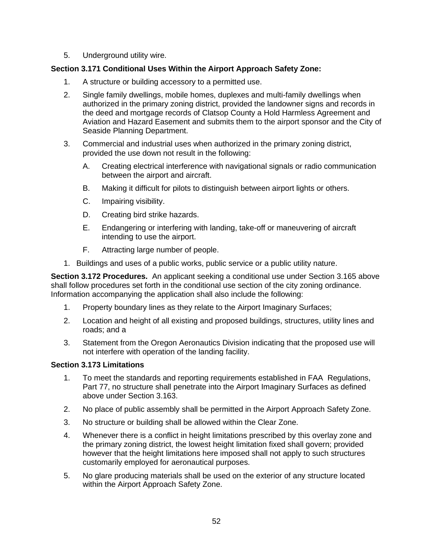5. Underground utility wire.

# **Section 3.171 Conditional Uses Within the Airport Approach Safety Zone:**

- 1. A structure or building accessory to a permitted use.
- 2. Single family dwellings, mobile homes, duplexes and multi-family dwellings when authorized in the primary zoning district, provided the landowner signs and records in the deed and mortgage records of Clatsop County a Hold Harmless Agreement and Aviation and Hazard Easement and submits them to the airport sponsor and the City of Seaside Planning Department.
- 3. Commercial and industrial uses when authorized in the primary zoning district, provided the use down not result in the following:
	- A. Creating electrical interference with navigational signals or radio communication between the airport and aircraft.
	- B. Making it difficult for pilots to distinguish between airport lights or others.
	- C. Impairing visibility.
	- D. Creating bird strike hazards.
	- E. Endangering or interfering with landing, take-off or maneuvering of aircraft intending to use the airport.
	- F. Attracting large number of people.
- 1. Buildings and uses of a public works, public service or a public utility nature.

**Section 3.172 Procedures.** An applicant seeking a conditional use under Section 3.165 above shall follow procedures set forth in the conditional use section of the city zoning ordinance. Information accompanying the application shall also include the following:

- 1. Property boundary lines as they relate to the Airport Imaginary Surfaces;
- 2. Location and height of all existing and proposed buildings, structures, utility lines and roads; and a
- 3. Statement from the Oregon Aeronautics Division indicating that the proposed use will not interfere with operation of the landing facility.

## **Section 3.173 Limitations**

- 1. To meet the standards and reporting requirements established in FAA Regulations, Part 77, no structure shall penetrate into the Airport Imaginary Surfaces as defined above under Section 3.163.
- 2. No place of public assembly shall be permitted in the Airport Approach Safety Zone.
- 3. No structure or building shall be allowed within the Clear Zone.
- 4. Whenever there is a conflict in height limitations prescribed by this overlay zone and the primary zoning district, the lowest height limitation fixed shall govern; provided however that the height limitations here imposed shall not apply to such structures customarily employed for aeronautical purposes.
- 5. No glare producing materials shall be used on the exterior of any structure located within the Airport Approach Safety Zone.